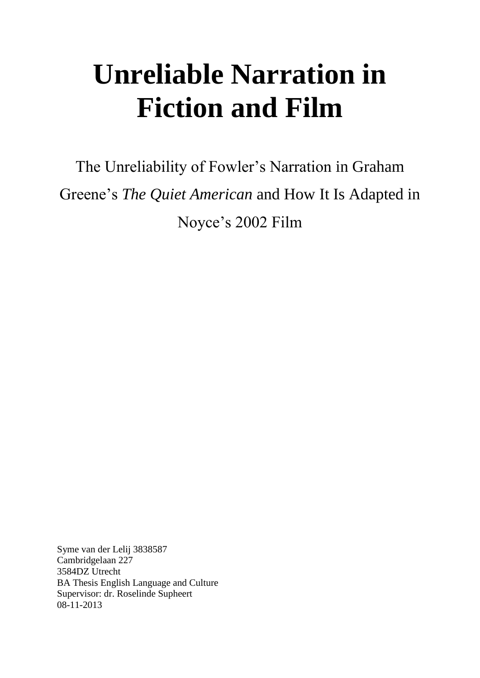# **Unreliable Narration in Fiction and Film**

The Unreliability of Fowler's Narration in Graham Greene's *The Quiet American* and How It Is Adapted in Noyce's 2002 Film

Syme van der Lelij 3838587 Cambridgelaan 227 3584DZ Utrecht BA Thesis English Language and Culture Supervisor: dr. Roselinde Supheert 08-11-2013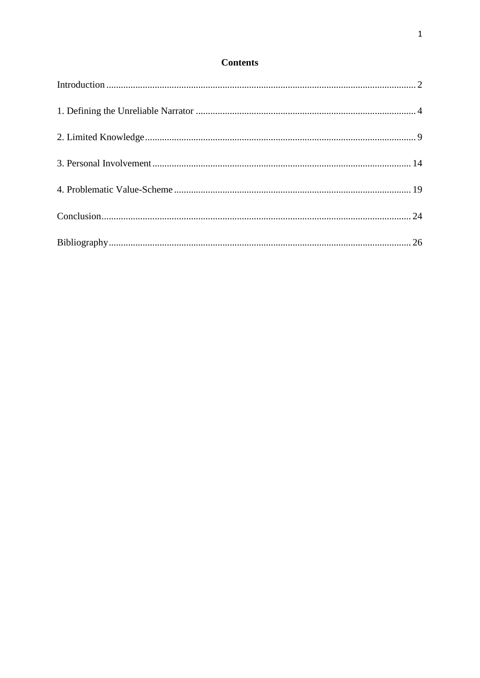# **Contents**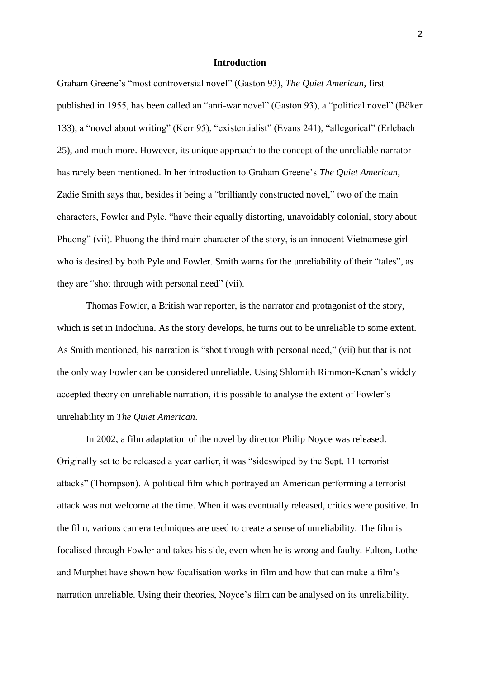# **Introduction**

<span id="page-2-0"></span>Graham Greene's "most controversial novel" (Gaston 93), *The Quiet American*, first published in 1955, has been called an "anti-war novel" (Gaston 93), a "political novel" (Böker 133), a "novel about writing" (Kerr 95), "existentialist" (Evans 241), "allegorical" (Erlebach 25), and much more. However, its unique approach to the concept of the unreliable narrator has rarely been mentioned. In her introduction to Graham Greene's *The Quiet American*, Zadie Smith says that, besides it being a "brilliantly constructed novel," two of the main characters, Fowler and Pyle, "have their equally distorting, unavoidably colonial, story about Phuong" (vii). Phuong the third main character of the story, is an innocent Vietnamese girl who is desired by both Pyle and Fowler. Smith warns for the unreliability of their "tales", as they are "shot through with personal need" (vii).

Thomas Fowler, a British war reporter, is the narrator and protagonist of the story, which is set in Indochina. As the story develops, he turns out to be unreliable to some extent. As Smith mentioned, his narration is "shot through with personal need," (vii) but that is not the only way Fowler can be considered unreliable. Using Shlomith Rimmon-Kenan's widely accepted theory on unreliable narration, it is possible to analyse the extent of Fowler's unreliability in *The Quiet American*.

In 2002, a film adaptation of the novel by director Philip Noyce was released. Originally set to be released a year earlier, it was "sideswiped by the Sept. 11 terrorist attacks" (Thompson). A political film which portrayed an American performing a terrorist attack was not welcome at the time. When it was eventually released, critics were positive. In the film, various camera techniques are used to create a sense of unreliability. The film is focalised through Fowler and takes his side, even when he is wrong and faulty. Fulton, Lothe and Murphet have shown how focalisation works in film and how that can make a film's narration unreliable. Using their theories, Noyce's film can be analysed on its unreliability.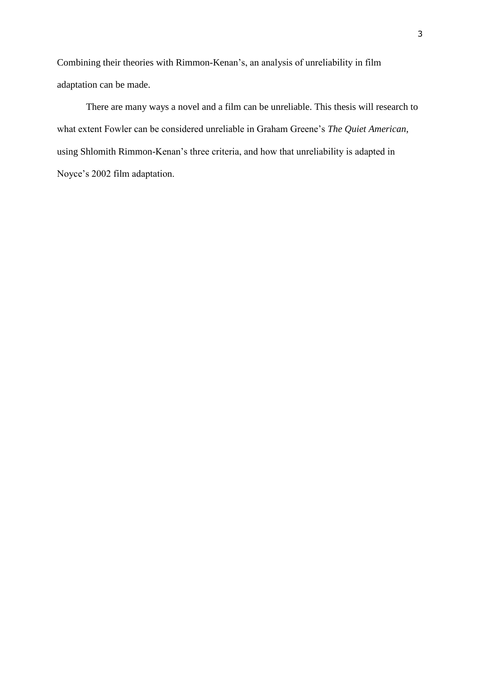Combining their theories with Rimmon-Kenan's, an analysis of unreliability in film adaptation can be made.

There are many ways a novel and a film can be unreliable. This thesis will research to what extent Fowler can be considered unreliable in Graham Greene's *The Quiet American*, using Shlomith Rimmon-Kenan's three criteria, and how that unreliability is adapted in Noyce's 2002 film adaptation.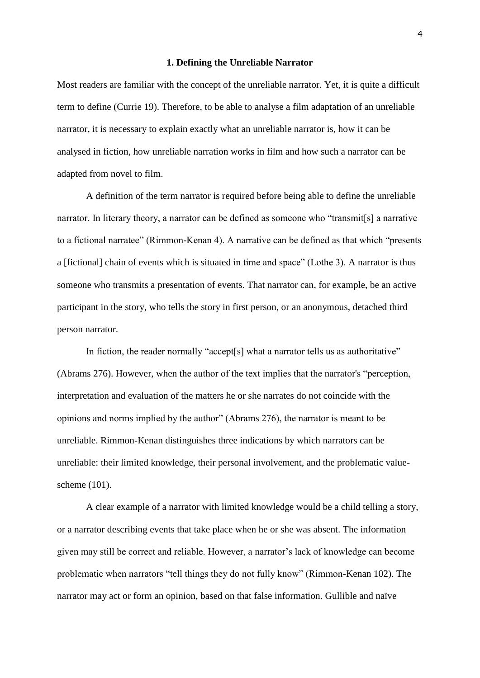#### **1. Defining the Unreliable Narrator**

<span id="page-4-0"></span>Most readers are familiar with the concept of the unreliable narrator. Yet, it is quite a difficult term to define (Currie 19). Therefore, to be able to analyse a film adaptation of an unreliable narrator, it is necessary to explain exactly what an unreliable narrator is, how it can be analysed in fiction, how unreliable narration works in film and how such a narrator can be adapted from novel to film.

A definition of the term narrator is required before being able to define the unreliable narrator. In literary theory, a narrator can be defined as someone who "transmit[s] a narrative to a fictional narratee" (Rimmon-Kenan 4). A narrative can be defined as that which "presents a [fictional] chain of events which is situated in time and space" (Lothe 3). A narrator is thus someone who transmits a presentation of events. That narrator can, for example, be an active participant in the story, who tells the story in first person, or an anonymous, detached third person narrator.

In fiction, the reader normally "accept<sup>[s]</sup> what a narrator tells us as authoritative" (Abrams 276). However, when the author of the text implies that the narrator's "perception, interpretation and evaluation of the matters he or she narrates do not coincide with the opinions and norms implied by the author" (Abrams 276), the narrator is meant to be unreliable. Rimmon-Kenan distinguishes three indications by which narrators can be unreliable: their limited knowledge, their personal involvement, and the problematic valuescheme (101).

A clear example of a narrator with limited knowledge would be a child telling a story, or a narrator describing events that take place when he or she was absent. The information given may still be correct and reliable. However, a narrator's lack of knowledge can become problematic when narrators "tell things they do not fully know" (Rimmon-Kenan 102). The narrator may act or form an opinion, based on that false information. Gullible and naïve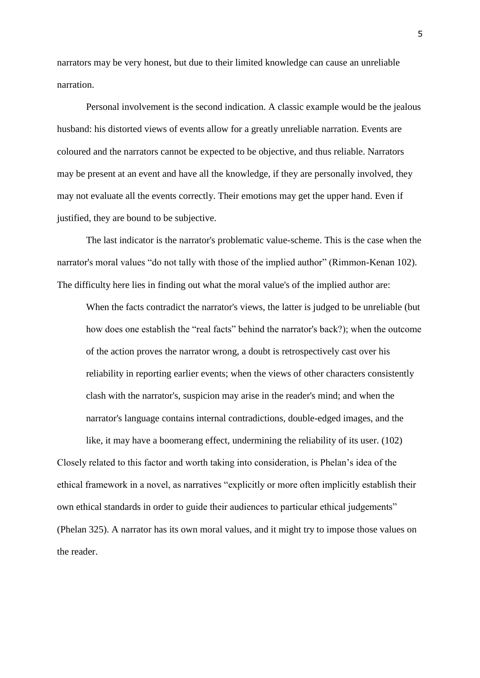narrators may be very honest, but due to their limited knowledge can cause an unreliable narration.

Personal involvement is the second indication. A classic example would be the jealous husband: his distorted views of events allow for a greatly unreliable narration. Events are coloured and the narrators cannot be expected to be objective, and thus reliable. Narrators may be present at an event and have all the knowledge, if they are personally involved, they may not evaluate all the events correctly. Their emotions may get the upper hand. Even if justified, they are bound to be subjective.

The last indicator is the narrator's problematic value-scheme. This is the case when the narrator's moral values "do not tally with those of the implied author" (Rimmon-Kenan 102). The difficulty here lies in finding out what the moral value's of the implied author are:

When the facts contradict the narrator's views, the latter is judged to be unreliable (but how does one establish the "real facts" behind the narrator's back?); when the outcome of the action proves the narrator wrong, a doubt is retrospectively cast over his reliability in reporting earlier events; when the views of other characters consistently clash with the narrator's, suspicion may arise in the reader's mind; and when the narrator's language contains internal contradictions, double-edged images, and the

like, it may have a boomerang effect, undermining the reliability of its user. (102) Closely related to this factor and worth taking into consideration, is Phelan's idea of the ethical framework in a novel, as narratives "explicitly or more often implicitly establish their own ethical standards in order to guide their audiences to particular ethical judgements" (Phelan 325). A narrator has its own moral values, and it might try to impose those values on the reader.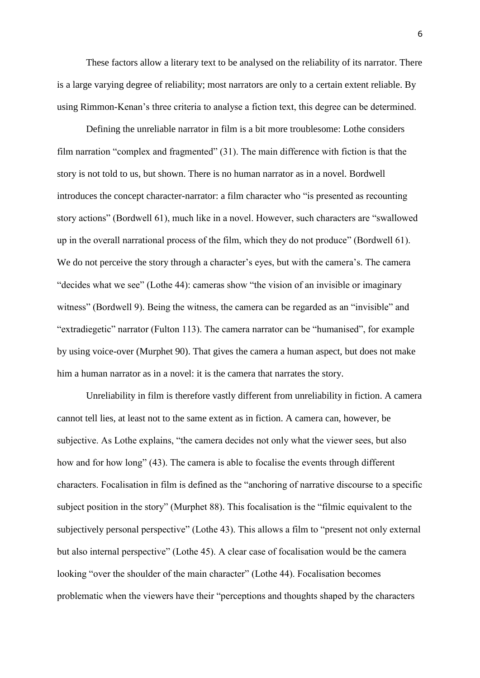These factors allow a literary text to be analysed on the reliability of its narrator. There is a large varying degree of reliability; most narrators are only to a certain extent reliable. By using Rimmon-Kenan's three criteria to analyse a fiction text, this degree can be determined.

Defining the unreliable narrator in film is a bit more troublesome: Lothe considers film narration "complex and fragmented" (31). The main difference with fiction is that the story is not told to us, but shown. There is no human narrator as in a novel. Bordwell introduces the concept character-narrator: a film character who "is presented as recounting story actions" (Bordwell 61), much like in a novel. However, such characters are "swallowed up in the overall narrational process of the film, which they do not produce" (Bordwell 61). We do not perceive the story through a character's eyes, but with the camera's. The camera "decides what we see" (Lothe 44): cameras show "the vision of an invisible or imaginary witness" (Bordwell 9). Being the witness, the camera can be regarded as an "invisible" and "extradiegetic" narrator (Fulton 113). The camera narrator can be "humanised", for example by using voice-over (Murphet 90). That gives the camera a human aspect, but does not make him a human narrator as in a novel: it is the camera that narrates the story.

Unreliability in film is therefore vastly different from unreliability in fiction. A camera cannot tell lies, at least not to the same extent as in fiction. A camera can, however, be subjective. As Lothe explains, "the camera decides not only what the viewer sees, but also how and for how long" (43). The camera is able to focalise the events through different characters. Focalisation in film is defined as the "anchoring of narrative discourse to a specific subject position in the story" (Murphet 88). This focalisation is the "filmic equivalent to the subjectively personal perspective" (Lothe 43). This allows a film to "present not only external but also internal perspective" (Lothe 45). A clear case of focalisation would be the camera looking "over the shoulder of the main character" (Lothe 44). Focalisation becomes problematic when the viewers have their "perceptions and thoughts shaped by the characters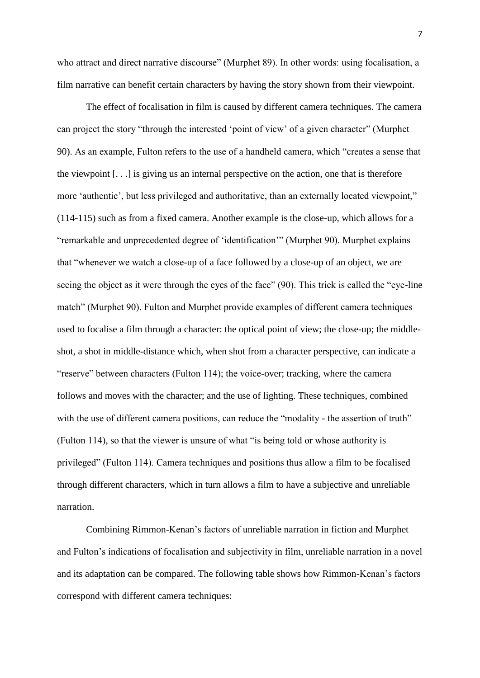who attract and direct narrative discourse" (Murphet 89). In other words: using focalisation, a film narrative can benefit certain characters by having the story shown from their viewpoint.

The effect of focalisation in film is caused by different camera techniques. The camera can project the story "through the interested 'point of view' of a given character" (Murphet 90). As an example, Fulton refers to the use of a handheld camera, which "creates a sense that the viewpoint [. . .] is giving us an internal perspective on the action, one that is therefore more 'authentic', but less privileged and authoritative, than an externally located viewpoint," (114-115) such as from a fixed camera. Another example is the close-up, which allows for a "remarkable and unprecedented degree of 'identification'" (Murphet 90). Murphet explains that "whenever we watch a close-up of a face followed by a close-up of an object, we are seeing the object as it were through the eyes of the face" (90). This trick is called the "eye-line match" (Murphet 90). Fulton and Murphet provide examples of different camera techniques used to focalise a film through a character: the optical point of view; the close-up; the middleshot, a shot in middle-distance which, when shot from a character perspective, can indicate a "reserve" between characters (Fulton 114); the voice-over; tracking, where the camera follows and moves with the character; and the use of lighting. These techniques, combined with the use of different camera positions, can reduce the "modality - the assertion of truth" (Fulton 114), so that the viewer is unsure of what "is being told or whose authority is privileged" (Fulton 114). Camera techniques and positions thus allow a film to be focalised through different characters, which in turn allows a film to have a subjective and unreliable narration.

Combining Rimmon-Kenan's factors of unreliable narration in fiction and Murphet and Fulton's indications of focalisation and subjectivity in film, unreliable narration in a novel and its adaptation can be compared. The following table shows how Rimmon-Kenan's factors correspond with different camera techniques: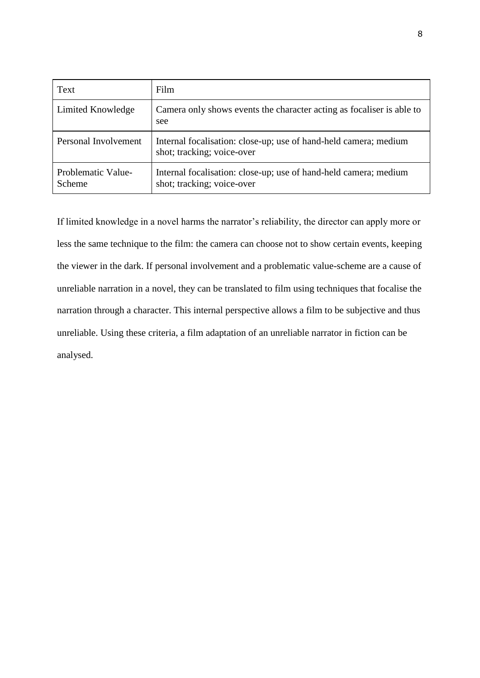| Text                         | Film                                                                                           |
|------------------------------|------------------------------------------------------------------------------------------------|
| Limited Knowledge            | Camera only shows events the character acting as focaliser is able to<br>see                   |
| Personal Involvement         | Internal focalisation: close-up; use of hand-held camera; medium<br>shot; tracking; voice-over |
| Problematic Value-<br>Scheme | Internal focalisation: close-up; use of hand-held camera; medium<br>shot; tracking; voice-over |

If limited knowledge in a novel harms the narrator's reliability, the director can apply more or less the same technique to the film: the camera can choose not to show certain events, keeping the viewer in the dark. If personal involvement and a problematic value-scheme are a cause of unreliable narration in a novel, they can be translated to film using techniques that focalise the narration through a character. This internal perspective allows a film to be subjective and thus unreliable. Using these criteria, a film adaptation of an unreliable narrator in fiction can be analysed.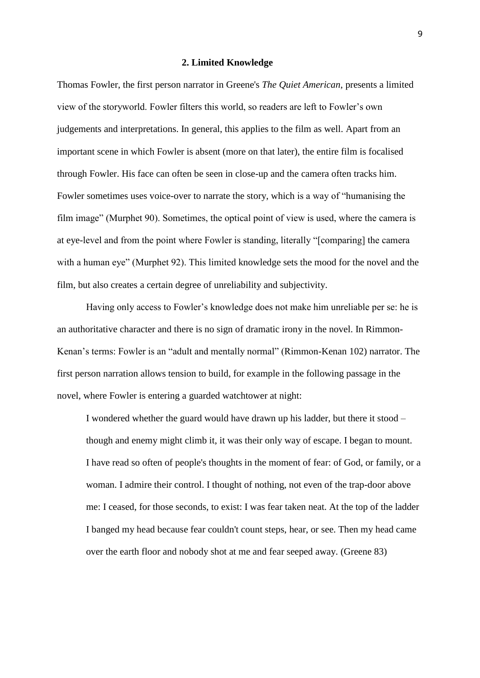#### **2. Limited Knowledge**

<span id="page-9-0"></span>Thomas Fowler, the first person narrator in Greene's *The Quiet American*, presents a limited view of the storyworld. Fowler filters this world, so readers are left to Fowler's own judgements and interpretations. In general, this applies to the film as well. Apart from an important scene in which Fowler is absent (more on that later), the entire film is focalised through Fowler. His face can often be seen in close-up and the camera often tracks him. Fowler sometimes uses voice-over to narrate the story, which is a way of "humanising the film image" (Murphet 90). Sometimes, the optical point of view is used, where the camera is at eye-level and from the point where Fowler is standing, literally "[comparing] the camera with a human eye" (Murphet 92). This limited knowledge sets the mood for the novel and the film, but also creates a certain degree of unreliability and subjectivity.

Having only access to Fowler's knowledge does not make him unreliable per se: he is an authoritative character and there is no sign of dramatic irony in the novel. In Rimmon-Kenan's terms: Fowler is an "adult and mentally normal" (Rimmon-Kenan 102) narrator. The first person narration allows tension to build, for example in the following passage in the novel, where Fowler is entering a guarded watchtower at night:

I wondered whether the guard would have drawn up his ladder, but there it stood – though and enemy might climb it, it was their only way of escape. I began to mount. I have read so often of people's thoughts in the moment of fear: of God, or family, or a woman. I admire their control. I thought of nothing, not even of the trap-door above me: I ceased, for those seconds, to exist: I was fear taken neat. At the top of the ladder I banged my head because fear couldn't count steps, hear, or see. Then my head came over the earth floor and nobody shot at me and fear seeped away. (Greene 83)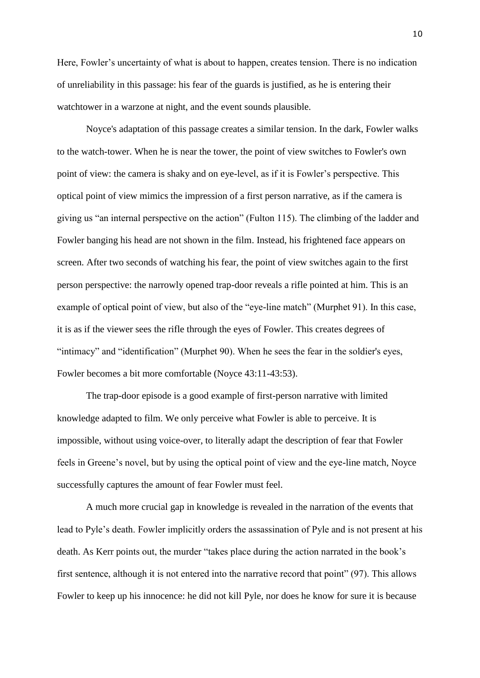Here, Fowler's uncertainty of what is about to happen, creates tension. There is no indication of unreliability in this passage: his fear of the guards is justified, as he is entering their watchtower in a warzone at night, and the event sounds plausible.

Noyce's adaptation of this passage creates a similar tension. In the dark, Fowler walks to the watch-tower. When he is near the tower, the point of view switches to Fowler's own point of view: the camera is shaky and on eye-level, as if it is Fowler's perspective. This optical point of view mimics the impression of a first person narrative, as if the camera is giving us "an internal perspective on the action" (Fulton 115). The climbing of the ladder and Fowler banging his head are not shown in the film. Instead, his frightened face appears on screen. After two seconds of watching his fear, the point of view switches again to the first person perspective: the narrowly opened trap-door reveals a rifle pointed at him. This is an example of optical point of view, but also of the "eye-line match" (Murphet 91). In this case, it is as if the viewer sees the rifle through the eyes of Fowler. This creates degrees of "intimacy" and "identification" (Murphet 90). When he sees the fear in the soldier's eyes, Fowler becomes a bit more comfortable (Noyce 43:11-43:53).

The trap-door episode is a good example of first-person narrative with limited knowledge adapted to film. We only perceive what Fowler is able to perceive. It is impossible, without using voice-over, to literally adapt the description of fear that Fowler feels in Greene's novel, but by using the optical point of view and the eye-line match, Noyce successfully captures the amount of fear Fowler must feel.

A much more crucial gap in knowledge is revealed in the narration of the events that lead to Pyle's death. Fowler implicitly orders the assassination of Pyle and is not present at his death. As Kerr points out, the murder "takes place during the action narrated in the book's first sentence, although it is not entered into the narrative record that point" (97). This allows Fowler to keep up his innocence: he did not kill Pyle, nor does he know for sure it is because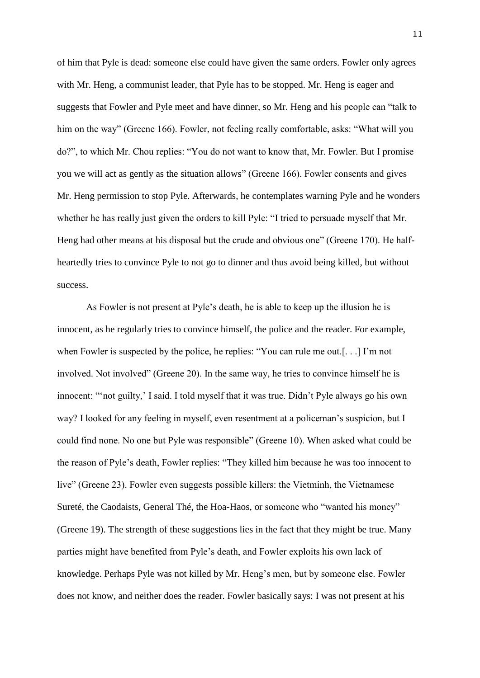of him that Pyle is dead: someone else could have given the same orders. Fowler only agrees with Mr. Heng, a communist leader, that Pyle has to be stopped. Mr. Heng is eager and suggests that Fowler and Pyle meet and have dinner, so Mr. Heng and his people can "talk to him on the way" (Greene 166). Fowler, not feeling really comfortable, asks: "What will you do?", to which Mr. Chou replies: "You do not want to know that, Mr. Fowler. But I promise you we will act as gently as the situation allows" (Greene 166). Fowler consents and gives Mr. Heng permission to stop Pyle. Afterwards, he contemplates warning Pyle and he wonders whether he has really just given the orders to kill Pyle: "I tried to persuade myself that Mr. Heng had other means at his disposal but the crude and obvious one" (Greene 170). He halfheartedly tries to convince Pyle to not go to dinner and thus avoid being killed, but without success.

As Fowler is not present at Pyle's death, he is able to keep up the illusion he is innocent, as he regularly tries to convince himself, the police and the reader. For example, when Fowler is suspected by the police, he replies: "You can rule me out.[. . .] I'm not involved. Not involved" (Greene 20). In the same way, he tries to convince himself he is innocent: "'not guilty,' I said. I told myself that it was true. Didn't Pyle always go his own way? I looked for any feeling in myself, even resentment at a policeman's suspicion, but I could find none. No one but Pyle was responsible" (Greene 10). When asked what could be the reason of Pyle's death, Fowler replies: "They killed him because he was too innocent to live" (Greene 23). Fowler even suggests possible killers: the Vietminh, the Vietnamese Sureté, the Caodaists, General Thé, the Hoa-Haos, or someone who "wanted his money" (Greene 19). The strength of these suggestions lies in the fact that they might be true. Many parties might have benefited from Pyle's death, and Fowler exploits his own lack of knowledge. Perhaps Pyle was not killed by Mr. Heng's men, but by someone else. Fowler does not know, and neither does the reader. Fowler basically says: I was not present at his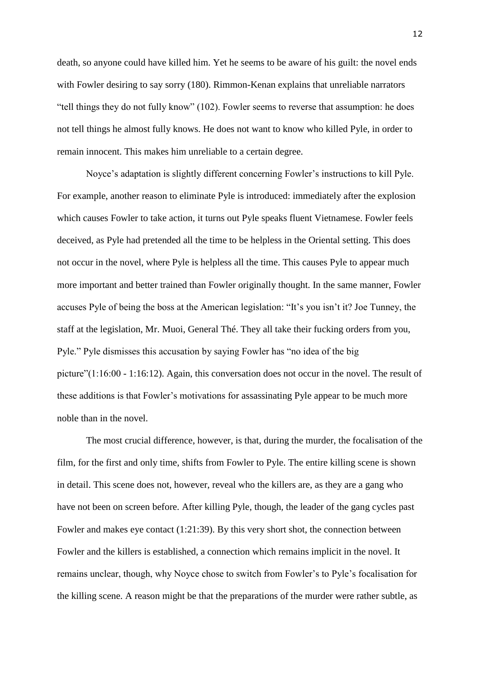death, so anyone could have killed him. Yet he seems to be aware of his guilt: the novel ends with Fowler desiring to say sorry (180). Rimmon-Kenan explains that unreliable narrators "tell things they do not fully know" (102). Fowler seems to reverse that assumption: he does not tell things he almost fully knows. He does not want to know who killed Pyle, in order to remain innocent. This makes him unreliable to a certain degree.

Noyce's adaptation is slightly different concerning Fowler's instructions to kill Pyle. For example, another reason to eliminate Pyle is introduced: immediately after the explosion which causes Fowler to take action, it turns out Pyle speaks fluent Vietnamese. Fowler feels deceived, as Pyle had pretended all the time to be helpless in the Oriental setting. This does not occur in the novel, where Pyle is helpless all the time. This causes Pyle to appear much more important and better trained than Fowler originally thought. In the same manner, Fowler accuses Pyle of being the boss at the American legislation: "It's you isn't it? Joe Tunney, the staff at the legislation, Mr. Muoi, General Thé. They all take their fucking orders from you, Pyle." Pyle dismisses this accusation by saying Fowler has "no idea of the big picture"(1:16:00 - 1:16:12). Again, this conversation does not occur in the novel. The result of these additions is that Fowler's motivations for assassinating Pyle appear to be much more noble than in the novel.

The most crucial difference, however, is that, during the murder, the focalisation of the film, for the first and only time, shifts from Fowler to Pyle. The entire killing scene is shown in detail. This scene does not, however, reveal who the killers are, as they are a gang who have not been on screen before. After killing Pyle, though, the leader of the gang cycles past Fowler and makes eye contact (1:21:39). By this very short shot, the connection between Fowler and the killers is established, a connection which remains implicit in the novel. It remains unclear, though, why Noyce chose to switch from Fowler's to Pyle's focalisation for the killing scene. A reason might be that the preparations of the murder were rather subtle, as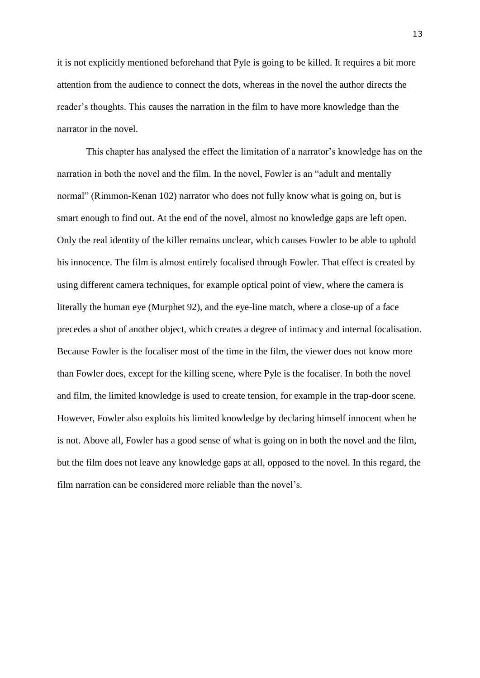it is not explicitly mentioned beforehand that Pyle is going to be killed. It requires a bit more attention from the audience to connect the dots, whereas in the novel the author directs the reader's thoughts. This causes the narration in the film to have more knowledge than the narrator in the novel.

This chapter has analysed the effect the limitation of a narrator's knowledge has on the narration in both the novel and the film. In the novel, Fowler is an "adult and mentally normal" (Rimmon-Kenan 102) narrator who does not fully know what is going on, but is smart enough to find out. At the end of the novel, almost no knowledge gaps are left open. Only the real identity of the killer remains unclear, which causes Fowler to be able to uphold his innocence. The film is almost entirely focalised through Fowler. That effect is created by using different camera techniques, for example optical point of view, where the camera is literally the human eye (Murphet 92), and the eye-line match, where a close-up of a face precedes a shot of another object, which creates a degree of intimacy and internal focalisation. Because Fowler is the focaliser most of the time in the film, the viewer does not know more than Fowler does, except for the killing scene, where Pyle is the focaliser. In both the novel and film, the limited knowledge is used to create tension, for example in the trap-door scene. However, Fowler also exploits his limited knowledge by declaring himself innocent when he is not. Above all, Fowler has a good sense of what is going on in both the novel and the film, but the film does not leave any knowledge gaps at all, opposed to the novel. In this regard, the film narration can be considered more reliable than the novel's.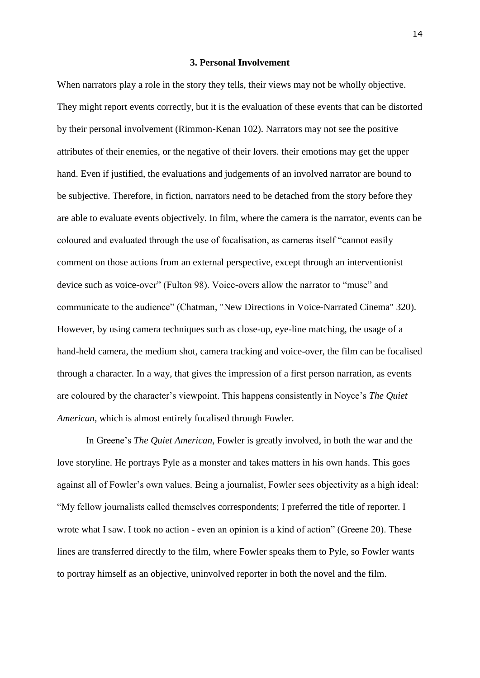# **3. Personal Involvement**

<span id="page-14-0"></span>When narrators play a role in the story they tells, their views may not be wholly objective. They might report events correctly, but it is the evaluation of these events that can be distorted by their personal involvement (Rimmon-Kenan 102). Narrators may not see the positive attributes of their enemies, or the negative of their lovers. their emotions may get the upper hand. Even if justified, the evaluations and judgements of an involved narrator are bound to be subjective. Therefore, in fiction, narrators need to be detached from the story before they are able to evaluate events objectively. In film, where the camera is the narrator, events can be coloured and evaluated through the use of focalisation, as cameras itself "cannot easily comment on those actions from an external perspective, except through an interventionist device such as voice-over" (Fulton 98). Voice-overs allow the narrator to "muse" and communicate to the audience" (Chatman, "New Directions in Voice-Narrated Cinema" 320). However, by using camera techniques such as close-up, eye-line matching, the usage of a hand-held camera, the medium shot, camera tracking and voice-over, the film can be focalised through a character. In a way, that gives the impression of a first person narration, as events are coloured by the character's viewpoint. This happens consistently in Noyce's *The Quiet American*, which is almost entirely focalised through Fowler.

In Greene's *The Quiet American*, Fowler is greatly involved, in both the war and the love storyline. He portrays Pyle as a monster and takes matters in his own hands. This goes against all of Fowler's own values. Being a journalist, Fowler sees objectivity as a high ideal: "My fellow journalists called themselves correspondents; I preferred the title of reporter. I wrote what I saw. I took no action - even an opinion is a kind of action" (Greene 20). These lines are transferred directly to the film, where Fowler speaks them to Pyle, so Fowler wants to portray himself as an objective, uninvolved reporter in both the novel and the film.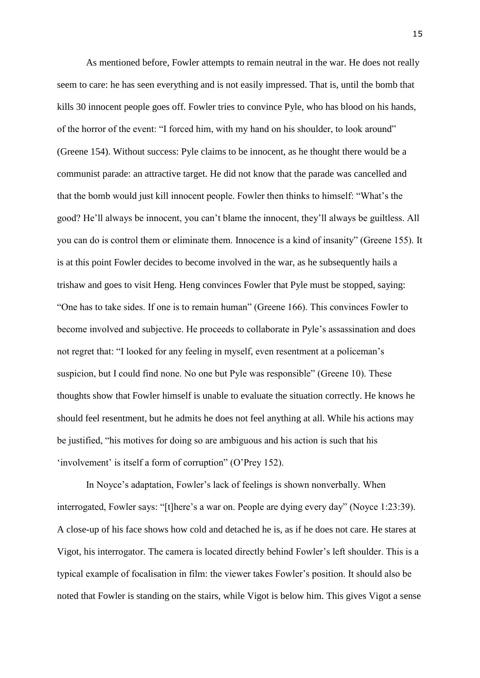As mentioned before, Fowler attempts to remain neutral in the war. He does not really seem to care: he has seen everything and is not easily impressed. That is, until the bomb that kills 30 innocent people goes off. Fowler tries to convince Pyle, who has blood on his hands, of the horror of the event: "I forced him, with my hand on his shoulder, to look around" (Greene 154). Without success: Pyle claims to be innocent, as he thought there would be a communist parade: an attractive target. He did not know that the parade was cancelled and that the bomb would just kill innocent people. Fowler then thinks to himself: "What's the good? He'll always be innocent, you can't blame the innocent, they'll always be guiltless. All you can do is control them or eliminate them. Innocence is a kind of insanity" (Greene 155). It is at this point Fowler decides to become involved in the war, as he subsequently hails a trishaw and goes to visit Heng. Heng convinces Fowler that Pyle must be stopped, saying: "One has to take sides. If one is to remain human" (Greene 166). This convinces Fowler to become involved and subjective. He proceeds to collaborate in Pyle's assassination and does not regret that: "I looked for any feeling in myself, even resentment at a policeman's suspicion, but I could find none. No one but Pyle was responsible" (Greene 10). These thoughts show that Fowler himself is unable to evaluate the situation correctly. He knows he should feel resentment, but he admits he does not feel anything at all. While his actions may be justified, "his motives for doing so are ambiguous and his action is such that his 'involvement' is itself a form of corruption" (O'Prey 152).

In Noyce's adaptation, Fowler's lack of feelings is shown nonverbally. When interrogated, Fowler says: "[t]here's a war on. People are dying every day" (Noyce 1:23:39). A close-up of his face shows how cold and detached he is, as if he does not care. He stares at Vigot, his interrogator. The camera is located directly behind Fowler's left shoulder. This is a typical example of focalisation in film: the viewer takes Fowler's position. It should also be noted that Fowler is standing on the stairs, while Vigot is below him. This gives Vigot a sense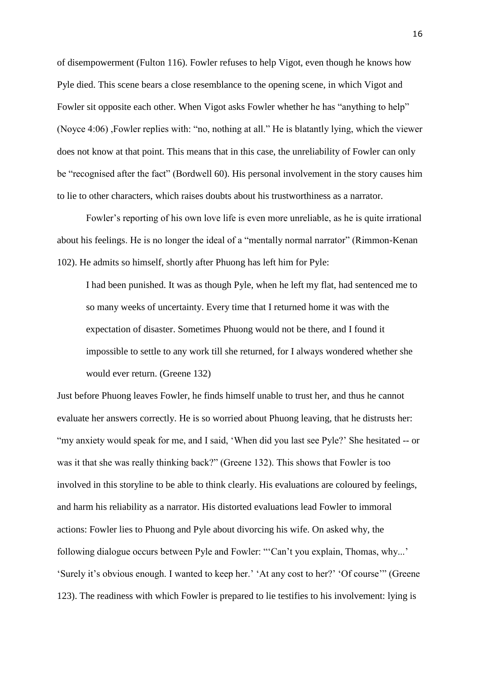of disempowerment (Fulton 116). Fowler refuses to help Vigot, even though he knows how Pyle died. This scene bears a close resemblance to the opening scene, in which Vigot and Fowler sit opposite each other. When Vigot asks Fowler whether he has "anything to help" (Noyce 4:06) ,Fowler replies with: "no, nothing at all." He is blatantly lying, which the viewer does not know at that point. This means that in this case, the unreliability of Fowler can only be "recognised after the fact" (Bordwell 60). His personal involvement in the story causes him to lie to other characters, which raises doubts about his trustworthiness as a narrator.

Fowler's reporting of his own love life is even more unreliable, as he is quite irrational about his feelings. He is no longer the ideal of a "mentally normal narrator" (Rimmon-Kenan 102). He admits so himself, shortly after Phuong has left him for Pyle:

I had been punished. It was as though Pyle, when he left my flat, had sentenced me to so many weeks of uncertainty. Every time that I returned home it was with the expectation of disaster. Sometimes Phuong would not be there, and I found it impossible to settle to any work till she returned, for I always wondered whether she would ever return. (Greene 132)

Just before Phuong leaves Fowler, he finds himself unable to trust her, and thus he cannot evaluate her answers correctly. He is so worried about Phuong leaving, that he distrusts her: "my anxiety would speak for me, and I said, 'When did you last see Pyle?' She hesitated -- or was it that she was really thinking back?" (Greene 132). This shows that Fowler is too involved in this storyline to be able to think clearly. His evaluations are coloured by feelings, and harm his reliability as a narrator. His distorted evaluations lead Fowler to immoral actions: Fowler lies to Phuong and Pyle about divorcing his wife. On asked why, the following dialogue occurs between Pyle and Fowler: "'Can't you explain, Thomas, why...' 'Surely it's obvious enough. I wanted to keep her.' 'At any cost to her?' 'Of course'" (Greene 123). The readiness with which Fowler is prepared to lie testifies to his involvement: lying is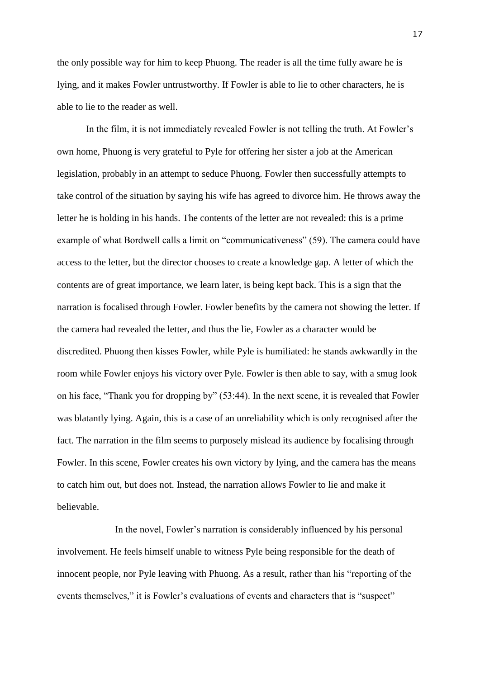the only possible way for him to keep Phuong. The reader is all the time fully aware he is lying, and it makes Fowler untrustworthy. If Fowler is able to lie to other characters, he is able to lie to the reader as well.

In the film, it is not immediately revealed Fowler is not telling the truth. At Fowler's own home, Phuong is very grateful to Pyle for offering her sister a job at the American legislation, probably in an attempt to seduce Phuong. Fowler then successfully attempts to take control of the situation by saying his wife has agreed to divorce him. He throws away the letter he is holding in his hands. The contents of the letter are not revealed: this is a prime example of what Bordwell calls a limit on "communicativeness" (59). The camera could have access to the letter, but the director chooses to create a knowledge gap. A letter of which the contents are of great importance, we learn later, is being kept back. This is a sign that the narration is focalised through Fowler. Fowler benefits by the camera not showing the letter. If the camera had revealed the letter, and thus the lie, Fowler as a character would be discredited. Phuong then kisses Fowler, while Pyle is humiliated: he stands awkwardly in the room while Fowler enjoys his victory over Pyle. Fowler is then able to say, with a smug look on his face, "Thank you for dropping by" (53:44). In the next scene, it is revealed that Fowler was blatantly lying. Again, this is a case of an unreliability which is only recognised after the fact. The narration in the film seems to purposely mislead its audience by focalising through Fowler. In this scene, Fowler creates his own victory by lying, and the camera has the means to catch him out, but does not. Instead, the narration allows Fowler to lie and make it believable.

In the novel, Fowler's narration is considerably influenced by his personal involvement. He feels himself unable to witness Pyle being responsible for the death of innocent people, nor Pyle leaving with Phuong. As a result, rather than his "reporting of the events themselves," it is Fowler's evaluations of events and characters that is "suspect"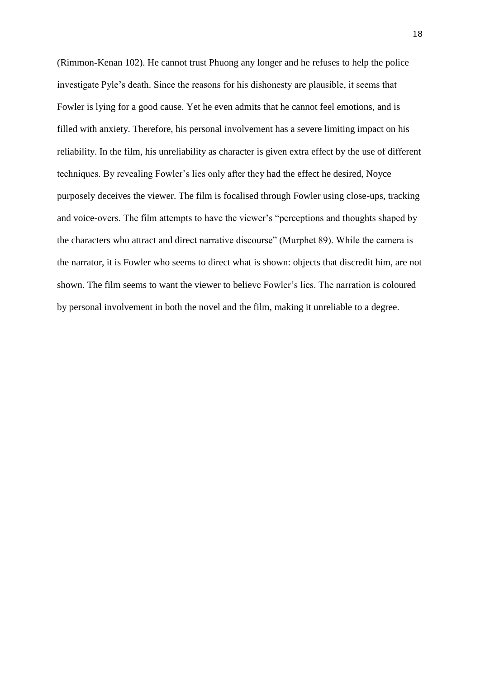(Rimmon-Kenan 102). He cannot trust Phuong any longer and he refuses to help the police investigate Pyle's death. Since the reasons for his dishonesty are plausible, it seems that Fowler is lying for a good cause. Yet he even admits that he cannot feel emotions, and is filled with anxiety. Therefore, his personal involvement has a severe limiting impact on his reliability. In the film, his unreliability as character is given extra effect by the use of different techniques. By revealing Fowler's lies only after they had the effect he desired, Noyce purposely deceives the viewer. The film is focalised through Fowler using close-ups, tracking and voice-overs. The film attempts to have the viewer's "perceptions and thoughts shaped by the characters who attract and direct narrative discourse" (Murphet 89). While the camera is the narrator, it is Fowler who seems to direct what is shown: objects that discredit him, are not shown. The film seems to want the viewer to believe Fowler's lies. The narration is coloured by personal involvement in both the novel and the film, making it unreliable to a degree.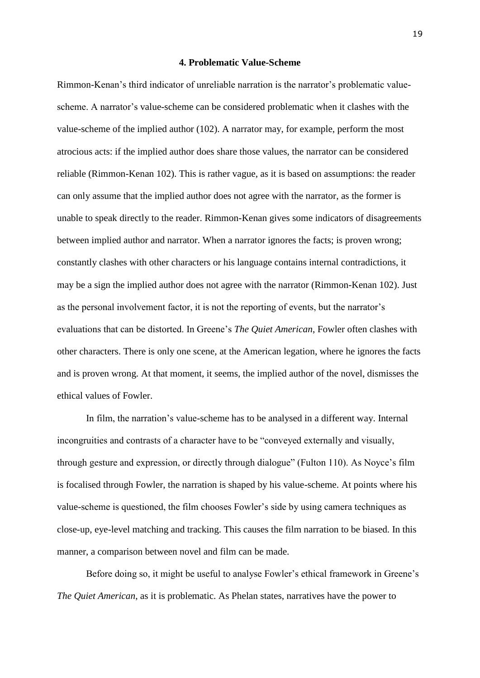### **4. Problematic Value-Scheme**

<span id="page-19-0"></span>Rimmon-Kenan's third indicator of unreliable narration is the narrator's problematic valuescheme. A narrator's value-scheme can be considered problematic when it clashes with the value-scheme of the implied author (102). A narrator may, for example, perform the most atrocious acts: if the implied author does share those values, the narrator can be considered reliable (Rimmon-Kenan 102). This is rather vague, as it is based on assumptions: the reader can only assume that the implied author does not agree with the narrator, as the former is unable to speak directly to the reader. Rimmon-Kenan gives some indicators of disagreements between implied author and narrator. When a narrator ignores the facts; is proven wrong; constantly clashes with other characters or his language contains internal contradictions, it may be a sign the implied author does not agree with the narrator (Rimmon-Kenan 102). Just as the personal involvement factor, it is not the reporting of events, but the narrator's evaluations that can be distorted. In Greene's *The Quiet American*, Fowler often clashes with other characters. There is only one scene, at the American legation, where he ignores the facts and is proven wrong. At that moment, it seems, the implied author of the novel, dismisses the ethical values of Fowler.

In film, the narration's value-scheme has to be analysed in a different way. Internal incongruities and contrasts of a character have to be "conveyed externally and visually, through gesture and expression, or directly through dialogue" (Fulton 110). As Noyce's film is focalised through Fowler, the narration is shaped by his value-scheme. At points where his value-scheme is questioned, the film chooses Fowler's side by using camera techniques as close-up, eye-level matching and tracking. This causes the film narration to be biased. In this manner, a comparison between novel and film can be made.

Before doing so, it might be useful to analyse Fowler's ethical framework in Greene's *The Quiet American*, as it is problematic. As Phelan states, narratives have the power to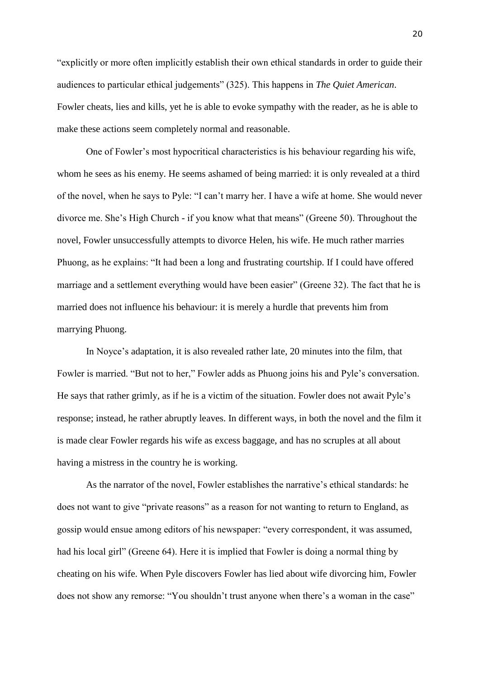"explicitly or more often implicitly establish their own ethical standards in order to guide their audiences to particular ethical judgements" (325). This happens in *The Quiet American*. Fowler cheats, lies and kills, yet he is able to evoke sympathy with the reader, as he is able to make these actions seem completely normal and reasonable.

One of Fowler's most hypocritical characteristics is his behaviour regarding his wife, whom he sees as his enemy. He seems ashamed of being married: it is only revealed at a third of the novel, when he says to Pyle: "I can't marry her. I have a wife at home. She would never divorce me. She's High Church - if you know what that means" (Greene 50). Throughout the novel, Fowler unsuccessfully attempts to divorce Helen, his wife. He much rather marries Phuong, as he explains: "It had been a long and frustrating courtship. If I could have offered marriage and a settlement everything would have been easier" (Greene 32). The fact that he is married does not influence his behaviour: it is merely a hurdle that prevents him from marrying Phuong.

In Noyce's adaptation, it is also revealed rather late, 20 minutes into the film, that Fowler is married. "But not to her," Fowler adds as Phuong joins his and Pyle's conversation. He says that rather grimly, as if he is a victim of the situation. Fowler does not await Pyle's response; instead, he rather abruptly leaves. In different ways, in both the novel and the film it is made clear Fowler regards his wife as excess baggage, and has no scruples at all about having a mistress in the country he is working.

As the narrator of the novel, Fowler establishes the narrative's ethical standards: he does not want to give "private reasons" as a reason for not wanting to return to England, as gossip would ensue among editors of his newspaper: "every correspondent, it was assumed, had his local girl" (Greene 64). Here it is implied that Fowler is doing a normal thing by cheating on his wife. When Pyle discovers Fowler has lied about wife divorcing him, Fowler does not show any remorse: "You shouldn't trust anyone when there's a woman in the case"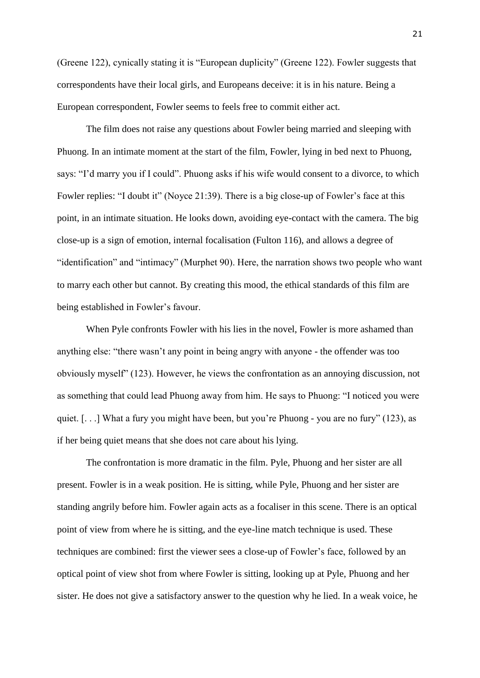(Greene 122), cynically stating it is "European duplicity" (Greene 122). Fowler suggests that correspondents have their local girls, and Europeans deceive: it is in his nature. Being a European correspondent, Fowler seems to feels free to commit either act.

The film does not raise any questions about Fowler being married and sleeping with Phuong. In an intimate moment at the start of the film, Fowler, lying in bed next to Phuong, says: "I'd marry you if I could". Phuong asks if his wife would consent to a divorce, to which Fowler replies: "I doubt it" (Noyce 21:39). There is a big close-up of Fowler's face at this point, in an intimate situation. He looks down, avoiding eye-contact with the camera. The big close-up is a sign of emotion, internal focalisation (Fulton 116), and allows a degree of "identification" and "intimacy" (Murphet 90). Here, the narration shows two people who want to marry each other but cannot. By creating this mood, the ethical standards of this film are being established in Fowler's favour.

When Pyle confronts Fowler with his lies in the novel, Fowler is more ashamed than anything else: "there wasn't any point in being angry with anyone - the offender was too obviously myself" (123). However, he views the confrontation as an annoying discussion, not as something that could lead Phuong away from him. He says to Phuong: "I noticed you were quiet. [. . .] What a fury you might have been, but you're Phuong - you are no fury" (123), as if her being quiet means that she does not care about his lying.

The confrontation is more dramatic in the film. Pyle, Phuong and her sister are all present. Fowler is in a weak position. He is sitting, while Pyle, Phuong and her sister are standing angrily before him. Fowler again acts as a focaliser in this scene. There is an optical point of view from where he is sitting, and the eye-line match technique is used. These techniques are combined: first the viewer sees a close-up of Fowler's face, followed by an optical point of view shot from where Fowler is sitting, looking up at Pyle, Phuong and her sister. He does not give a satisfactory answer to the question why he lied. In a weak voice, he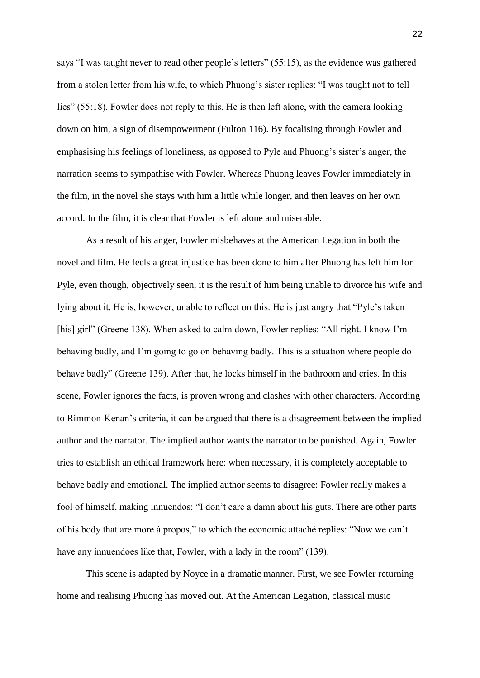says "I was taught never to read other people's letters" (55:15), as the evidence was gathered from a stolen letter from his wife, to which Phuong's sister replies: "I was taught not to tell lies" (55:18). Fowler does not reply to this. He is then left alone, with the camera looking down on him, a sign of disempowerment (Fulton 116). By focalising through Fowler and emphasising his feelings of loneliness, as opposed to Pyle and Phuong's sister's anger, the narration seems to sympathise with Fowler. Whereas Phuong leaves Fowler immediately in the film, in the novel she stays with him a little while longer, and then leaves on her own accord. In the film, it is clear that Fowler is left alone and miserable.

As a result of his anger, Fowler misbehaves at the American Legation in both the novel and film. He feels a great injustice has been done to him after Phuong has left him for Pyle, even though, objectively seen, it is the result of him being unable to divorce his wife and lying about it. He is, however, unable to reflect on this. He is just angry that "Pyle's taken [his] girl" (Greene 138). When asked to calm down, Fowler replies: "All right. I know I'm behaving badly, and I'm going to go on behaving badly. This is a situation where people do behave badly" (Greene 139). After that, he locks himself in the bathroom and cries. In this scene, Fowler ignores the facts, is proven wrong and clashes with other characters. According to Rimmon-Kenan's criteria, it can be argued that there is a disagreement between the implied author and the narrator. The implied author wants the narrator to be punished. Again, Fowler tries to establish an ethical framework here: when necessary, it is completely acceptable to behave badly and emotional. The implied author seems to disagree: Fowler really makes a fool of himself, making innuendos: "I don't care a damn about his guts. There are other parts of his body that are more à propos," to which the economic attaché replies: "Now we can't have any innuendoes like that, Fowler, with a lady in the room" (139).

This scene is adapted by Noyce in a dramatic manner. First, we see Fowler returning home and realising Phuong has moved out. At the American Legation, classical music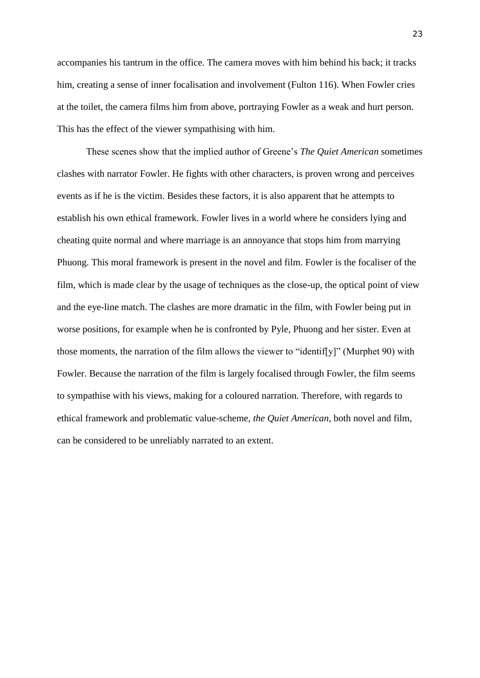accompanies his tantrum in the office. The camera moves with him behind his back; it tracks him, creating a sense of inner focalisation and involvement (Fulton 116). When Fowler cries at the toilet, the camera films him from above, portraying Fowler as a weak and hurt person. This has the effect of the viewer sympathising with him.

These scenes show that the implied author of Greene's *The Quiet American* sometimes clashes with narrator Fowler. He fights with other characters, is proven wrong and perceives events as if he is the victim. Besides these factors, it is also apparent that he attempts to establish his own ethical framework. Fowler lives in a world where he considers lying and cheating quite normal and where marriage is an annoyance that stops him from marrying Phuong. This moral framework is present in the novel and film. Fowler is the focaliser of the film, which is made clear by the usage of techniques as the close-up, the optical point of view and the eye-line match. The clashes are more dramatic in the film, with Fowler being put in worse positions, for example when he is confronted by Pyle, Phuong and her sister. Even at those moments, the narration of the film allows the viewer to "identif[y]" (Murphet 90) with Fowler. Because the narration of the film is largely focalised through Fowler, the film seems to sympathise with his views, making for a coloured narration. Therefore, with regards to ethical framework and problematic value-scheme, *the Quiet American*, both novel and film, can be considered to be unreliably narrated to an extent.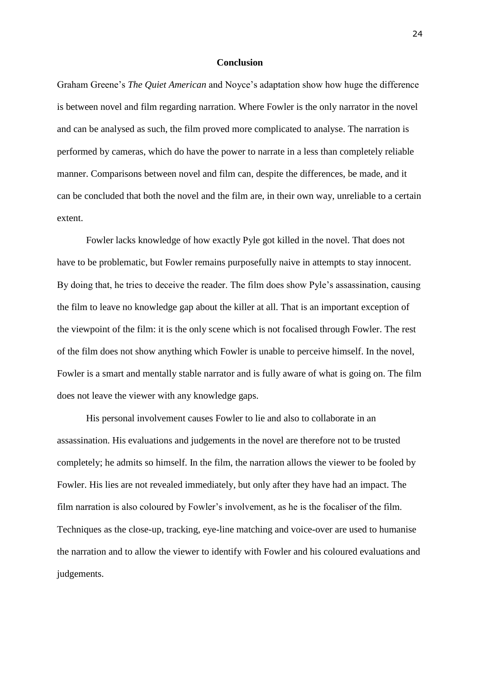# **Conclusion**

<span id="page-24-0"></span>Graham Greene's *The Quiet American* and Noyce's adaptation show how huge the difference is between novel and film regarding narration. Where Fowler is the only narrator in the novel and can be analysed as such, the film proved more complicated to analyse. The narration is performed by cameras, which do have the power to narrate in a less than completely reliable manner. Comparisons between novel and film can, despite the differences, be made, and it can be concluded that both the novel and the film are, in their own way, unreliable to a certain extent.

Fowler lacks knowledge of how exactly Pyle got killed in the novel. That does not have to be problematic, but Fowler remains purposefully naive in attempts to stay innocent. By doing that, he tries to deceive the reader. The film does show Pyle's assassination, causing the film to leave no knowledge gap about the killer at all. That is an important exception of the viewpoint of the film: it is the only scene which is not focalised through Fowler. The rest of the film does not show anything which Fowler is unable to perceive himself. In the novel, Fowler is a smart and mentally stable narrator and is fully aware of what is going on. The film does not leave the viewer with any knowledge gaps.

His personal involvement causes Fowler to lie and also to collaborate in an assassination. His evaluations and judgements in the novel are therefore not to be trusted completely; he admits so himself. In the film, the narration allows the viewer to be fooled by Fowler. His lies are not revealed immediately, but only after they have had an impact. The film narration is also coloured by Fowler's involvement, as he is the focaliser of the film. Techniques as the close-up, tracking, eye-line matching and voice-over are used to humanise the narration and to allow the viewer to identify with Fowler and his coloured evaluations and judgements.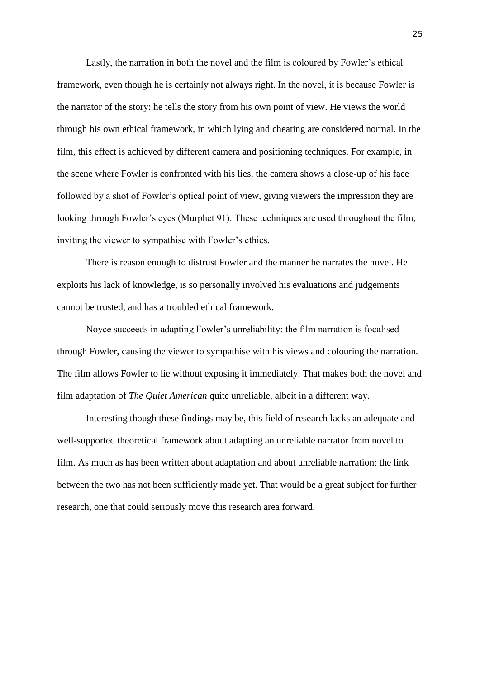Lastly, the narration in both the novel and the film is coloured by Fowler's ethical framework, even though he is certainly not always right. In the novel, it is because Fowler is the narrator of the story: he tells the story from his own point of view. He views the world through his own ethical framework, in which lying and cheating are considered normal. In the film, this effect is achieved by different camera and positioning techniques. For example, in the scene where Fowler is confronted with his lies, the camera shows a close-up of his face followed by a shot of Fowler's optical point of view, giving viewers the impression they are looking through Fowler's eyes (Murphet 91). These techniques are used throughout the film, inviting the viewer to sympathise with Fowler's ethics.

There is reason enough to distrust Fowler and the manner he narrates the novel. He exploits his lack of knowledge, is so personally involved his evaluations and judgements cannot be trusted, and has a troubled ethical framework.

Noyce succeeds in adapting Fowler's unreliability: the film narration is focalised through Fowler, causing the viewer to sympathise with his views and colouring the narration. The film allows Fowler to lie without exposing it immediately. That makes both the novel and film adaptation of *The Quiet American* quite unreliable, albeit in a different way.

Interesting though these findings may be, this field of research lacks an adequate and well-supported theoretical framework about adapting an unreliable narrator from novel to film. As much as has been written about adaptation and about unreliable narration; the link between the two has not been sufficiently made yet. That would be a great subject for further research, one that could seriously move this research area forward.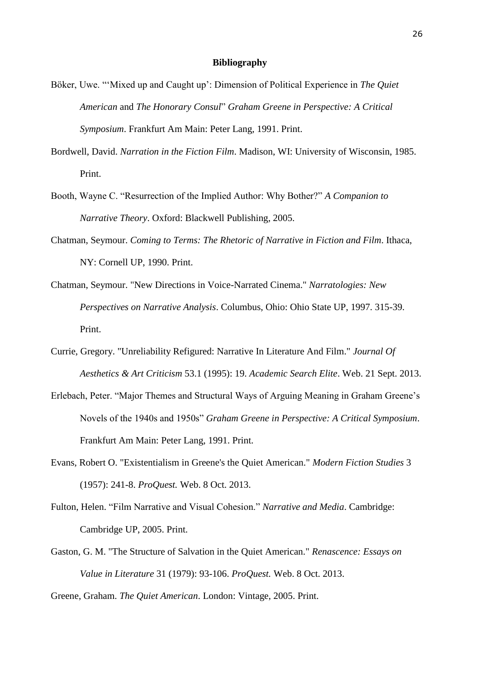#### **Bibliography**

- <span id="page-26-0"></span>Böker, Uwe. "'Mixed up and Caught up': Dimension of Political Experience in *The Quiet American* and *The Honorary Consul*" *Graham Greene in Perspective: A Critical Symposium*. Frankfurt Am Main: Peter Lang, 1991. Print.
- Bordwell, David. *Narration in the Fiction Film*. Madison, WI: University of Wisconsin, 1985. Print.
- Booth, Wayne C. "Resurrection of the Implied Author: Why Bother?" *A Companion to Narrative Theory*. Oxford: Blackwell Publishing, 2005.
- Chatman, Seymour. *Coming to Terms: The Rhetoric of Narrative in Fiction and Film*. Ithaca, NY: Cornell UP, 1990. Print.
- Chatman, Seymour. "New Directions in Voice-Narrated Cinema." *Narratologies: New Perspectives on Narrative Analysis*. Columbus, Ohio: Ohio State UP, 1997. 315-39. Print.
- Currie, Gregory. "Unreliability Refigured: Narrative In Literature And Film." *Journal Of Aesthetics & Art Criticism* 53.1 (1995): 19. *Academic Search Elite*. Web. 21 Sept. 2013.
- Erlebach, Peter. "Major Themes and Structural Ways of Arguing Meaning in Graham Greene's Novels of the 1940s and 1950s" *Graham Greene in Perspective: A Critical Symposium*. Frankfurt Am Main: Peter Lang, 1991. Print.
- Evans, Robert O. "Existentialism in Greene's the Quiet American." *Modern Fiction Studies* 3 (1957): 241-8. *ProQuest.* Web. 8 Oct. 2013.
- Fulton, Helen. "Film Narrative and Visual Cohesion." *Narrative and Media*. Cambridge: Cambridge UP, 2005. Print.
- Gaston, G. M. "The Structure of Salvation in the Quiet American." *Renascence: Essays on Value in Literature* 31 (1979): 93-106. *ProQuest.* Web. 8 Oct. 2013.

Greene, Graham. *The Quiet American*. London: Vintage, 2005. Print.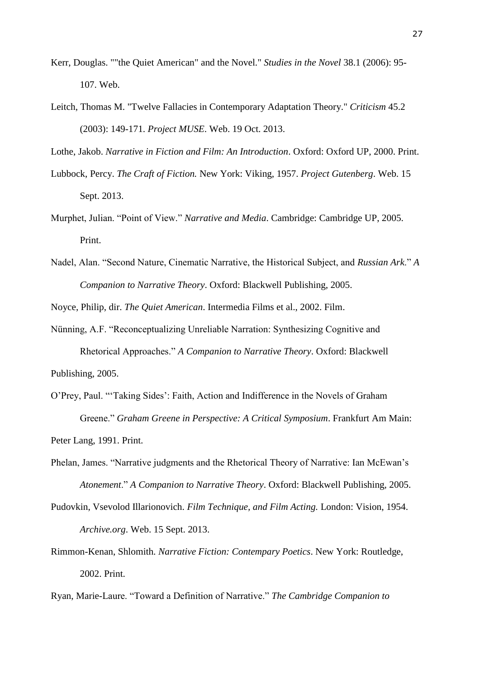- Kerr, Douglas. ""the Quiet American" and the Novel." *Studies in the Novel* 38.1 (2006): 95- 107. Web.
- Leitch, Thomas M. "Twelve Fallacies in Contemporary Adaptation Theory." *Criticism* 45.2 (2003): 149-171. *Project MUSE*. Web. 19 Oct. 2013.

Lothe, Jakob. *Narrative in Fiction and Film: An Introduction*. Oxford: Oxford UP, 2000. Print.

- Lubbock, Percy. *The Craft of Fiction.* New York: Viking, 1957. *Project Gutenberg*. Web. 15 Sept. 2013.
- Murphet, Julian. "Point of View." *Narrative and Media*. Cambridge: Cambridge UP, 2005. Print.
- Nadel, Alan. "Second Nature, Cinematic Narrative, the Historical Subject, and *Russian Ark*." *A Companion to Narrative Theory*. Oxford: Blackwell Publishing, 2005.

Noyce, Philip, dir. *The Quiet American*. Intermedia Films et al., 2002. Film.

- Nünning, A.F. "Reconceptualizing Unreliable Narration: Synthesizing Cognitive and Rhetorical Approaches." *A Companion to Narrative Theory*. Oxford: Blackwell Publishing, 2005.
- O'Prey, Paul. "'Taking Sides': Faith, Action and Indifference in the Novels of Graham Greene." *Graham Greene in Perspective: A Critical Symposium*. Frankfurt Am Main:

Peter Lang, 1991. Print.

- Phelan, James. "Narrative judgments and the Rhetorical Theory of Narrative: Ian McEwan's *Atonement*." *A Companion to Narrative Theory*. Oxford: Blackwell Publishing, 2005.
- Pudovkin, Vsevolod Illarionovich. *Film Technique, and Film Acting.* London: Vision, 1954. *Archive.org*. Web. 15 Sept. 2013.
- Rimmon-Kenan, Shlomith. *Narrative Fiction: Contempary Poetics*. New York: Routledge, 2002. Print.

Ryan, Marie-Laure. "Toward a Definition of Narrative." *The Cambridge Companion to*